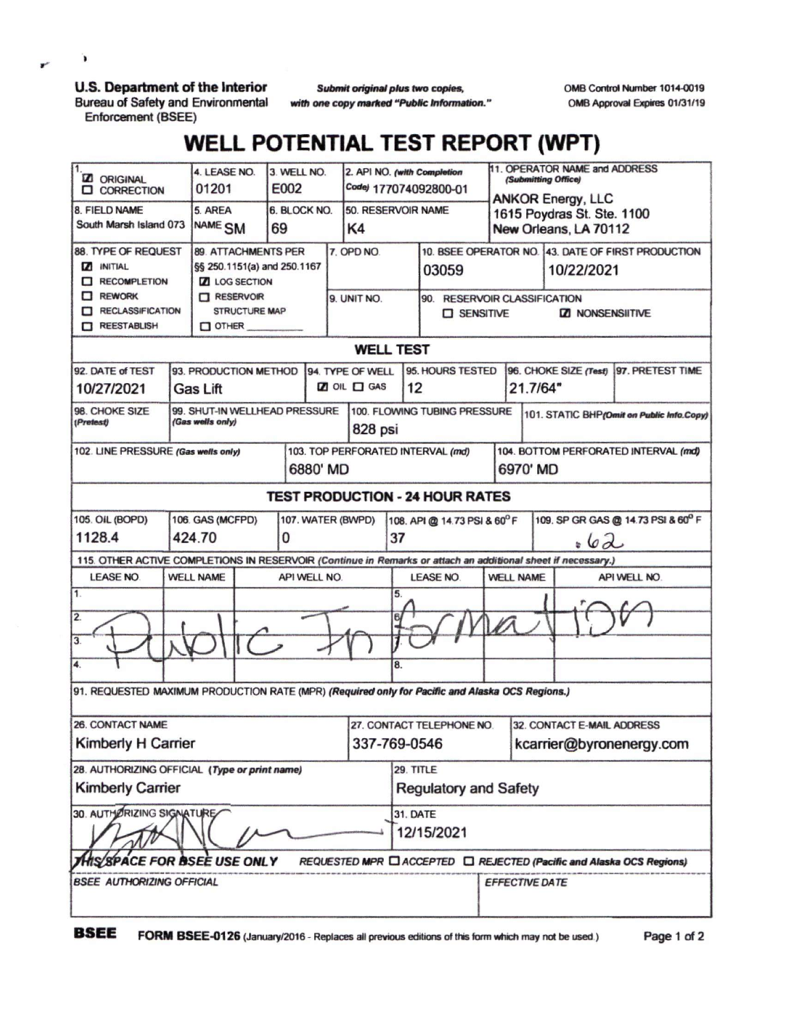## **U.S. Department of the Interior**

**Bureau of Safety and Environmental Enforcement (BSEE)**

**Submit original plus two copies,** *with one copy marked "Public Information.'* OMB Control Number 1014-0019 0MB Approval Expires 01/31/19

## **WELL POTENTIAL TEST REPORT (WPT)**

| <b>Z</b> ORIGINAL<br><b>Q</b> CORRECTION                                                                     |                                          | 4. LEASE NO.<br>01201                                                                                                              |  | 3. WELL NO.<br>E002 |              | 2. API NO. (with Completion<br>Codej 177074092800-01 |                                                                                |                                                             |                          | 11. OPERATOR NAME and ADDRESS<br>(Submitting Office)<br><b>ANKOR Energy, LLC</b> |                                                                                              |                                                                      |  |
|--------------------------------------------------------------------------------------------------------------|------------------------------------------|------------------------------------------------------------------------------------------------------------------------------------|--|---------------------|--------------|------------------------------------------------------|--------------------------------------------------------------------------------|-------------------------------------------------------------|--------------------------|----------------------------------------------------------------------------------|----------------------------------------------------------------------------------------------|----------------------------------------------------------------------|--|
| 8. FIELD NAME<br>South Marsh Island 073                                                                      |                                          | 5. AREA<br>NAME <sub>SM</sub>                                                                                                      |  | 69                  | 6. BLOCK NO. |                                                      | 50. RESERVOIR NAME<br>K4                                                       |                                                             |                          | 1615 Poydras St. Ste. 1100<br>New Orleans, LA 70112                              |                                                                                              |                                                                      |  |
| 88. TYPE OF REQUEST<br><b>Z INITIAL</b><br>RECOMPLETION<br>REWORK<br>RECLASSIFICATION<br>REESTABLISH         |                                          | 89. ATTACHMENTS PER<br>§§ 250.1151(a) and 250.1167<br><b>Z</b> LOG SECTION<br><b>TT RESERVOIR</b><br>STRUCTURE MAP<br>$\Box$ OTHER |  |                     |              | 7. OPD NO.<br>9. UNIT NO.                            |                                                                                | 03059<br>90. RESERVOIR CLASSIFICATION<br><b>D</b> SENSITIVE |                          |                                                                                  | 10. BSEE OPERATOR NO. 43. DATE OF FIRST PRODUCTION<br>10/22/2021<br><b>ZZI NONSENSIITIVE</b> |                                                                      |  |
| <b>WELL TEST</b>                                                                                             |                                          |                                                                                                                                    |  |                     |              |                                                      |                                                                                |                                                             |                          |                                                                                  |                                                                                              |                                                                      |  |
| 92. DATE of TEST<br>10/27/2021                                                                               | 93. PRODUCTION METHOD<br><b>Gas Lift</b> |                                                                                                                                    |  |                     |              | 94. TYPE OF WELL<br><b>Z</b> OIL <b>O</b> GAS<br>12  |                                                                                | 95. HOURS TESTED                                            |                          |                                                                                  | 96. CHOKE SIZE (Test)<br>97. PRETEST TIME<br>21.7/64"                                        |                                                                      |  |
| 99. SHUT-IN WELLHEAD PRESSURE<br>98. CHOKE SIZE<br>(Gas wells only)<br>(Pretest)                             |                                          |                                                                                                                                    |  |                     |              | 100. FLOWING TUBING PRESSURE<br>828 psi              |                                                                                |                                                             |                          | 101. STATIC BHP(Omit on Public Info.Copy)                                        |                                                                                              |                                                                      |  |
| 102. LINE PRESSURE (Gas wells only)<br>6880' MD                                                              |                                          |                                                                                                                                    |  |                     |              |                                                      | 103. TOP PERFORATED INTERVAL (md)                                              | 104. BOTTOM PERFORATED INTERVAL (md)<br>6970' MD            |                          |                                                                                  |                                                                                              |                                                                      |  |
|                                                                                                              |                                          |                                                                                                                                    |  |                     |              |                                                      |                                                                                | <b>TEST PRODUCTION - 24 HOUR RATES</b>                      |                          |                                                                                  |                                                                                              |                                                                      |  |
| 105. OIL (BOPD)<br>106. GAS (MCFPD)<br>107. WATER (BWPD)<br>1128.4<br>424.70<br>0                            |                                          |                                                                                                                                    |  |                     |              |                                                      | 109. SP GR GAS @ 14.73 PSI & 60° F<br>108. API @ 14.73 PSI & 60°F<br>37<br>.62 |                                                             |                          |                                                                                  |                                                                                              |                                                                      |  |
| 115. OTHER ACTIVE COMPLETIONS IN RESERVOIR (Continue in Remarks or attach an additional sheet if necessary.) |                                          |                                                                                                                                    |  |                     |              |                                                      |                                                                                |                                                             |                          |                                                                                  |                                                                                              |                                                                      |  |
| <b>LEASE NO.</b><br>1.                                                                                       | <b>WELL NAME</b>                         |                                                                                                                                    |  | API WELL NO.        |              |                                                      | 5.                                                                             | <b>LEASE NO.</b>                                            | <b>WELL NAME</b>         |                                                                                  |                                                                                              | API WELL NO.                                                         |  |
| 2.<br>3.                                                                                                     |                                          |                                                                                                                                    |  |                     |              |                                                      | 61                                                                             |                                                             |                          |                                                                                  |                                                                                              |                                                                      |  |
| 4.                                                                                                           |                                          |                                                                                                                                    |  |                     |              |                                                      | 8.                                                                             |                                                             |                          |                                                                                  |                                                                                              |                                                                      |  |
| 91. REQUESTED MAXIMUM PRODUCTION RATE (MPR) (Required only for Pacific and Alaska OCS Regions.)              |                                          |                                                                                                                                    |  |                     |              |                                                      |                                                                                |                                                             |                          |                                                                                  |                                                                                              |                                                                      |  |
| <b>26. CONTACT NAME</b>                                                                                      |                                          |                                                                                                                                    |  |                     |              |                                                      | 27. CONTACT TELEPHONE NO.                                                      |                                                             |                          | 32. CONTACT E-MAIL ADDRESS                                                       |                                                                                              |                                                                      |  |
| Kimberly H Carrier                                                                                           |                                          |                                                                                                                                    |  |                     |              | 337-769-0546                                         |                                                                                |                                                             | kcarrier@byronenergy.com |                                                                                  |                                                                                              |                                                                      |  |
| 28. AUTHORIZING OFFICIAL (Type or print name)<br><b>Kimberly Carrier</b>                                     |                                          |                                                                                                                                    |  |                     |              | 29. TITLE<br><b>Regulatory and Safety</b>            |                                                                                |                                                             |                          |                                                                                  |                                                                                              |                                                                      |  |
| 30. AUTHORIZING SIGNATURE                                                                                    |                                          |                                                                                                                                    |  |                     |              | 31. DATE<br>12/15/2021                               |                                                                                |                                                             |                          |                                                                                  |                                                                                              |                                                                      |  |
| HIS/SPACE FOR ISSEE USE ONLY                                                                                 |                                          |                                                                                                                                    |  |                     |              |                                                      |                                                                                |                                                             |                          |                                                                                  |                                                                                              | REQUESTED MPR CLACCEPTED CLREJECTED (Pacific and Alaska OCS Regions) |  |
| <b>BSEE AUTHORIZING OFFICIAL</b>                                                                             |                                          |                                                                                                                                    |  |                     |              |                                                      |                                                                                |                                                             | <b>EFFECTIVE DATE</b>    |                                                                                  |                                                                                              |                                                                      |  |

r

 $\mathbf{r}$